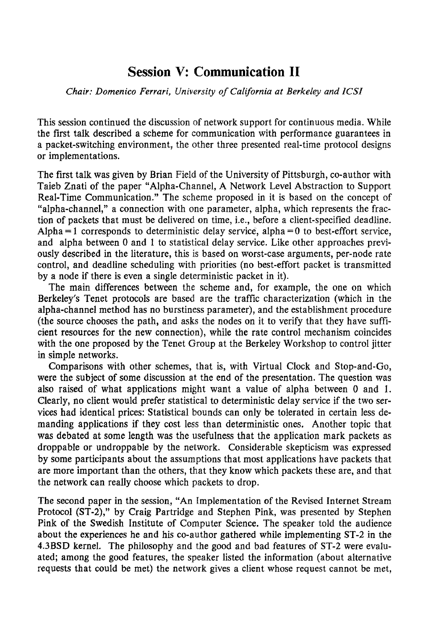# **Session V: Communication II**

# *Chair: Domenico Ferrari, University of California at Berkeley and ICSI*

This session continued the discussion of network support for continuous media. While the first talk described a scheme for communication with performance guarantees in a packet-switching environment, the other three presented real-time protocol designs or implementations.

The first talk was given by Brian Field of the University of Pittsburgh, co-author with Taieb Znati of the paper "Alpha-Channel, A Network Level Abstraction to Support Real-Time Communication." The scheme proposed in it is based on the concept of "alpha-channel," a connection with one parameter, alpha, which represents the fraction of packets that must be delivered on time, i.e., before a client-specified deadline.  $Alpha = 1$  corresponds to deterministic delay service, alpha = 0 to best-effort service, and alpha between 0 and 1 to statistical delay service. Like other approaches previously described in the literature, this is based on worst-case arguments, per-node rate control, and deadline scheduling with priorities (no best-effort packet is transmitted by a node if there is even a single deterministic packet in it).

The main differences between the scheme and, for example, the one on which Berkeley's Tenet protocols are based are the traffic characterization (which in the alpha-channel method has no burstiness parameter), and the establishment procedure (the source chooses the path, and asks the nodes on it to verify that they have sufficient resources for the new connection), while the rate control mechanism coincides with the one proposed by the Tenet Group at the Berkeley Workshop to control jitter in simple networks.

Comparisons with other schemes, that is, with Virtual Clock and Stop-and-Go, were the subject of some discussion at the end of the presentation. The question was also raised of what applications might want a value of alpha between 0 and 1. Clearly, no client would prefer statistical to deterministic delay service if the two services had identical prices: Statistical bounds can only be tolerated in certain less demanding applications if they cost less than deterministic ones. Another topic that was debated at some length was the usefulness that the application mark packets as droppable or undroppable by the network. Considerable skepticism was expressed by some participants about the assumptions that most applications have packets that are more important than the others, that they know which packets these are, and that the network can really choose which packets to drop.

The second paper in the session, "An Implementation of the Revised Internet Stream Protocol (ST-2)," by Craig Partridge and Stephen Pink, was presented by Stephen Pink of the Swedish Institute of Computer Science. The speaker told the audience about the experiences he and his co-author gathered while implementing ST-2 in the 4.3BSD kernel. The philosophy and the good and bad features of ST-2 were evaluated; among the good features, the speaker listed the information (about alternative requests that could be met) the network gives a client whose request cannot be met,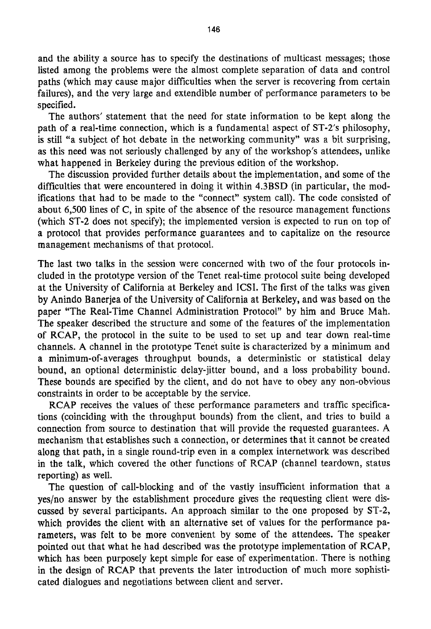and the ability a source has to specify the destinations of multicast messages; those listed among the problems were the almost complete separation of data and control paths (which may cause major difficulties when the server is recovering from certain failures), and the very large and extendible number of performance parameters to be specified.

The authors' statement that the need for state information to be kept along the path of a real-time connection, which is a fundamental aspect of ST-2's philosophy, is still "a subject of hot debate in the networking community" was a bit surprising, as this need was not seriously challenged by any of the workshop's attendees, unlike what happened in Berkeley during the previous edition of the workshop.

The discussion provided further details about the implementation, and some of the difficulties that were encountered in doing it within 4.3BSD (in particular, the modifications that had to be made to the "connect" system call). The code consisted of about 6,500 lines of C, in spite of the absence of the resource management functions (which ST-2 does not specify); the implemented version is expected to run on top of a protocol that provides performance guarantees and to capitalize on the resource management mechanisms of that protocol.

The last two talks in the session were concerned with two of the four protocols included in the prototype version of the Tenet real-time protocol suite being developed at the University of California at Berkeley and ICSI. The first of the talks was given by Anindo Banerjea of the University of California at Berkeley, and was based on the paper "The Real-Time Channel Administration Protocol" by him and Bruce Mah. The speaker described the structure and some of the features of the implementation of RCAP, the protocol in the suite to be used to set up and tear down real-time channels. A channel in the prototype Tenet suite is characterized by a minimum and a minimum-of-averages throughput bounds, a deterministic or statistical delay bound, an optional deterministic delay-jitter bound, and a loss probability bound. These bounds are specified by the client, and do not have to obey any non-obvious constraints in order to be acceptable by the service.

RCAP receives the values of these performance parameters and traffic specifications (coinciding with the throughput bounds) from the client, and tries to build a connection from source to destination that will provide the requested guarantees. A mechanism that establishes such a connection, or determines that it cannot be created along that path, in a single round-trip even in a complex internetwork was described in the talk, which covered the other functions of RCAP (channel teardown, status reporting) as well.

The question of call-blocking and of the vastly insufficient information that a yes/no answer by the establishment procedure gives the requesting client were discussed by several participants. An approach similar to the one proposed by ST-2, which provides the client with an alternative set of values for the performance parameters, was felt to be more convenient by some of the attendees. The speaker pointed out that what he had described was the prototype implementation of RCAP, which has been purposely kept simple for ease of experimentation. There is nothing in the design of RCAP that prevents the later introduction of much more sophisticated dialogues and negotiations between client and server.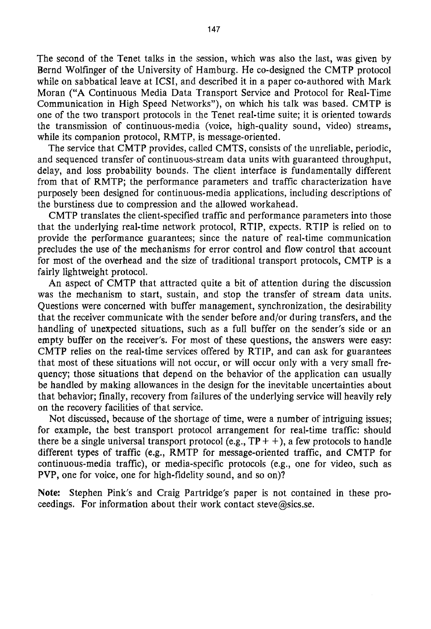The second of the Tenet talks in the session, which was also the last, was given by Bernd Wolfinger of the University of Hamburg. He co-designed the CMTP protocol while on sabbatical leave at ICSI, and described it in a paper co-authored with Mark Moran ("A Continuous Media Data Transport Service and Protocol for Real-Time Communication in High Speed Networks"), on which his talk was based. CMTP is one of the two transport protocols in the Tenet real-time suite; it is oriented towards the transmission of continuous-media (voice, high-quality sound, video) streams, while its companion protocol, RMTP, is message-oriented.

The service that CMTP provides, called CMTS, consists of the unreliable, periodic, and sequenced transfer of continuous-stream data units with guaranteed throughput, delay, and loss probability bounds. The client interface is fundamentally different from that of RMTP; the performance parameters and traffic characterization have purposely been designed for continuous-media applications, including descriptions of the burstiness due to compression and the allowed workahead.

CMTP translates the client-specified traffic and performance parameters into those that the underlying real-time network protocol, RTIP, expects. RTIP is relied on to provide the performance guarantees; since the nature of real-time communication precludes the use of the mechanisms for error control and flow control that account for most of the overhead and the size of traditional transport protocols, CMTP is a fairly lightweight protocol.

An aspect of CMTP that attracted quite a bit of attention during the discussion was the mechanism to start, sustain, and stop the transfer of stream data units. Questions were concerned with buffer management, synchronization, the desirability that the receiver communicate with the sender before and/or during transfers, and the handling of unexpected situations, such as a full buffer on the sender's side or an empty buffer on the receiver's. For most of these questions, the answers were easy: CMTP relies on the real-time services offered by RTIP, and can ask for guarantees that most of these situations will not occur, or will occur only with a very small frequency; those situations that depend on the behavior of the application can usually be handled by making allowances in the design for the inevitable uncertainties about that behavior; finally, recovery from failures of the underlying service will heavily rely on the recovery facilities of that service.

Not discussed, because of the shortage of time, were a number of intriguing issues; for example, the best transport protocol arrangement for real-time traffic: should there be a single universal transport protocol (e.g.,  $TP + +$ ), a few protocols to handle different types of traffic (e.g., RMTP for message-oriented traffic, and CMTP for continuous-media traffic), or media-specific protocols (e.g., one for video, such as PVP, one for voice, one for high-fidelity sound, and so on)?

Note: Stephen Pink's and Craig Partridge's paper is not contained in these proceedings. For information about their work contact steve@sics.se.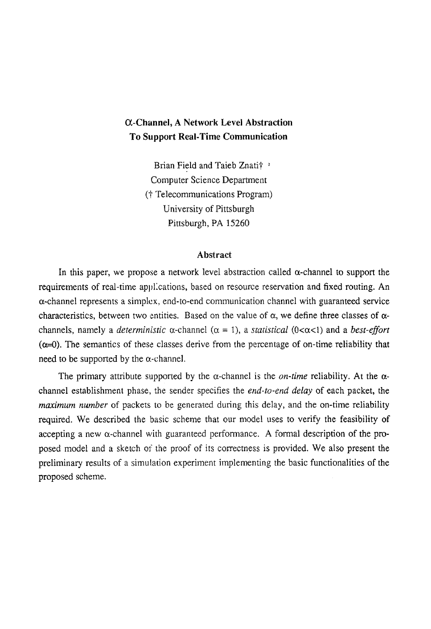# (g-Channel, A **Network Level** Abstraction **To Support** Real-Time Communication

Brian Field and Taieb Znatit<sup>3</sup> Computer Science Department (t Telecommunications Program) University of Pittsburgh Pittsburgh, PA 15260

#### **Abstract**

In this paper, we propose a network level abstraction called  $\alpha$ -channel to support the requirements of real-time applications, based on resource reservation and fixed routing. An  $\alpha$ -channel represents a simplex, end-to-end communication channel with guaranteed service characteristics, between two entities. Based on the value of  $\alpha$ , we define three classes of  $\alpha$ channels, namely a *deterministic*  $\alpha$ -channel ( $\alpha = 1$ ), a *statistical* (0< $\alpha$ <1) and a *best-effort*  $(\alpha=0)$ . The semantics of these classes derive from the percentage of on-time reliability that need to be supported by the  $\alpha$ -channel.

The primary attribute supported by the  $\alpha$ -channel is the *on-time* reliability. At the  $\alpha$ channel establishment phase, the sender specifies the *end-to-end delay* of each packet, the *maximum number* of packets to be generated during this delay, and the on-time reliability required. We described the basic scheme that our model uses to verify the feasibility of accepting a new  $\alpha$ -channel with guaranteed performance. A formal description of the proposed model and a sketch of the proof of its correctness is provided. We also present the preliminary results of a simulation experiment implementing the basic functionalities of the proposed scheme.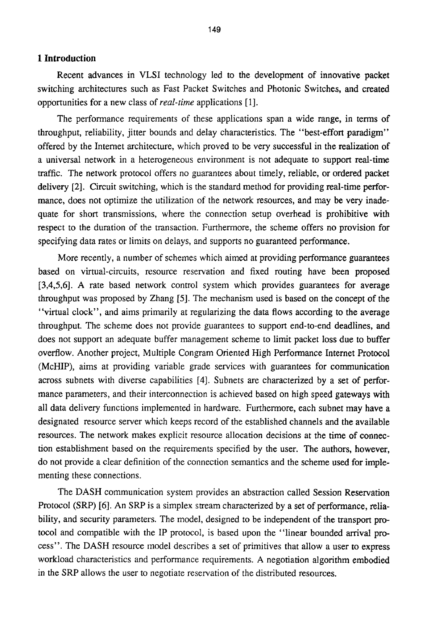# 1 Introduction

Recent advances in VLSI technology led to the development of innovative packet switching architectures such as Fast Packet Switches and Photonic Switches, and created opportunities for a new class of *real-time* applications [1].

The performance requirements of these applications span a wide range, in terms of throughput, reliability, jitter bounds and delay characteristics. The "best-effort paradigm" offered by the Intemet architecture, which proved to be very successful in the realization of a universal network in a heterogeneous environment is not adequate to support real-time traffic. The network protocol offers no guarantees about timely, reliable, or ordered packet delivery [2]. Circuit switching, which is the standard method for providing real-time performance, does not optimize the utilization of the network resources, and may be very inadequate for short transmissions, where the connection setup overhead is prohibitive with respect to the duration of the transaction. Furthermore, the scheme offers no provision for specifying data rates or limits on delays, and supports no guaranteed performance.

More recently, a number of schemes which aimed at providing performance guarantees based on virtual-circuits, resource reservation and fixed routing have been proposed [3,4,5,6]. A rate based network control system which provides guarantees for average throughput was proposed by Zhang [5]. The mechanism used is based on the concept of the "virtual clock", and aims primarily at regularizing the data flows according to the average throughput. The scheme does not provide guarantees to support end-to-end deadlines, and does not support an adequate buffer management scheme to limit packet loss due to buffer overflow. Another project, Multiple Congram Oriented High Performance Internet Protocol (McHIP), aims at providing variable grade services with guarantees for communication across subnets with diverse capabilities [4]. Subnets are characterized by a set of performance parameters, and their interconnection is achieved based on high speed gateways with all data delivery functions implemented in hardware. Furthermore, each subnet may have a designated resource server which keeps record of the established channels and the available resources. The network makes explicit resource allocation decisions at the time of connection establishment based on the requirements specified by the user. The authors, however, do not provide a clear definition of the connection semantics and the scheme used for implementing these connections.

The DASH communication system provides an abstraction called Session Reservation Protocol (SRP) [6]. An SRP is a simplex stream characterized by a set of performance, reliability, and security parameters. The model, designed to be independent of the transport protocol and compatible with the IP protocol, is based upon the "linear bounded arrival process". The DASH resource model describes a set of primitives that allow a user to express workload characteristics and performance requirements. A negotiation algorithm embodied in the SRP allows the user to negotiate reservation of the distributed resources.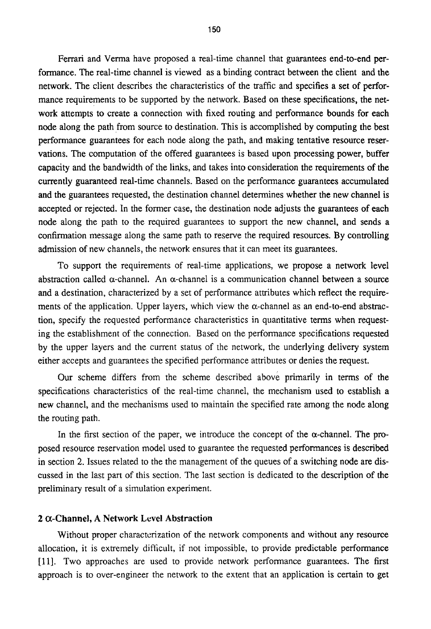Ferrari and Verma have proposed a real-time channel that guarantees end-to-end performance. The real-time channel is viewed as a binding contract between the client and the network. The client describes the characteristics of the traffic and specifies a set of performance requirements to be supported by the network. Based on these specifications, the network attempts to create a connection with fixed routing and performance bounds for each node along the path from source to destination. This is accomplished by computing the best performance guarantees for each node along the path, and making tentative resource reservations. The computation of the offered guarantees is based upon processing power, buffer capacity and the bandwidth of the links, and takes into consideration the requirements of the currently guaranteed real-time channels. Based on the performance guarantees accumulated **and the** guarantees requested, the destination channel determines whether the new channel is accepted or rejected. In the former case, the destination node adjusts the guarantees of each **node** along the path to the required guarantees to support the new channel, and sends a confirmation message along the same path to reserve the required resources. By controlling admission of new channels, the network ensures that it can meet its guarantees.

To support the requirements of real-time applications, we propose a network level abstraction called  $\alpha$ -channel. An  $\alpha$ -channel is a communication channel between a source **and** a destination, characterized by a set of performance attributes which reflect the requirements of the application. Upper layers, which view the  $\alpha$ -channel as an end-to-end abstraction, specify the requested performance characteristics in quantitative terms when requesting the establishment of the connection. Based on the performance specifications requested by the upper layers and the current status of the network, the underlying delivery system either accepts and guarantees the specified performance attributes or denies the request.

Our scheme differs from the scheme described above primarily in terms of the specifications characteristics of the real-time channel, the mechanism used to establish a **new** channel, and the mechanisms used to maintain the specified rate among the node along the routing path.

In the first section of the paper, we introduce the concept of the  $\alpha$ -channel. The proposed resource reservation model used to guarantee the requested performances is described in section 2. Issues related to the the management of the queues of a switching node are discussed in the last part of this section. The last section is dedicated to the description of the preliminary result of a simulation experiment.

#### **2 o~-Channel, A Network Level Abstraction**

Without proper characterization of the network components and without any resource allocation, it is extremely difficult, if not impossible, to provide predictable performance [11]. Two approaches are used to provide network performance guarantees. The first approach is to over-engineer the network to the extent that an application is certain to get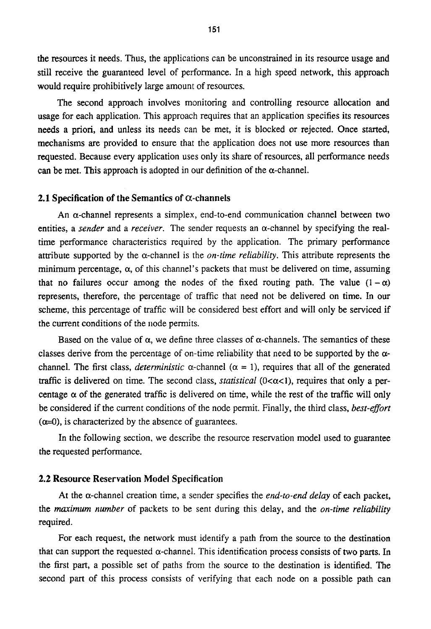the resources it needs. Thus, the applications can be unconstrained in its resource usage and still receive the guaranteed level of performance. In a high speed network, this approach would require prohibitively large amount of resources.

The second approach involves monitoring and controlling resource allocation and usage for each application. This approach requires that an application specifies its **resources needs** a priori, and unless its needs can be met, it is blocked or rejected. Once started, mechanisms are provided to ensure that the application does not use more resources than requested. Because every application uses only its share of resources, all performance needs can be met. This approach is adopted in our definition of the  $\alpha$ -channel.

#### 2.1 Specification of the Semantics of  $\alpha$ -channels

An  $\alpha$ -channel represents a simplex, end-to-end communication channel between two entities, a *sender* and a *receiver*. The sender requests an  $\alpha$ -channel by specifying the realtime performance characteristics required by the application. The primary performance attribute supported by the  $\alpha$ -channel is the *on-time reliability*. This attribute represents the minimum percentage,  $\alpha$ , of this channel's packets that must be delivered on time, assuming that no failures occur among the nodes of the fixed routing path. The value  $(1 - \alpha)$ **represents,** therefore, the percentage of traffic that need not be delivered on time. In our scheme, this percentage of traffic will be Considered best effort and will only be serviced if the current conditions of the node permits.

Based on the value of  $\alpha$ , we define three classes of  $\alpha$ -channels. The semantics of these classes derive from the percentage of on-time reliability that need to be supported by the  $\alpha$ channel. The first class, *deterministic*  $\alpha$ -channel ( $\alpha = 1$ ), requires that all of the generated traffic is delivered on time. The second class, *statistical*  $(0<\alpha<1)$ , requires that only a percentage  $\alpha$  of the generated traffic is delivered on time, while the rest of the traffic will only be considered if the current conditions of the node permit. Finally, the third class, *best-effort*   $(\alpha=0)$ , is characterized by the absence of guarantees.

In the following section, we describe the resource reservation model used to guarantee the requested performance.

# **2.2 Resource Reservation Model Specification**

At the a-channel creation time, a sender specifies the *end-to-end delay* of each packet, *the maximum number* of packets to be sent during this delay, and the *on-time reliability*  required.

For each request, the network must identify a path from the source to the destination that can support the requested  $\alpha$ -channel. This identification process consists of two parts. In the first part, a possible set of paths from the source to the destination is identified. The second part of this process consists of verifying that each node on a possible path can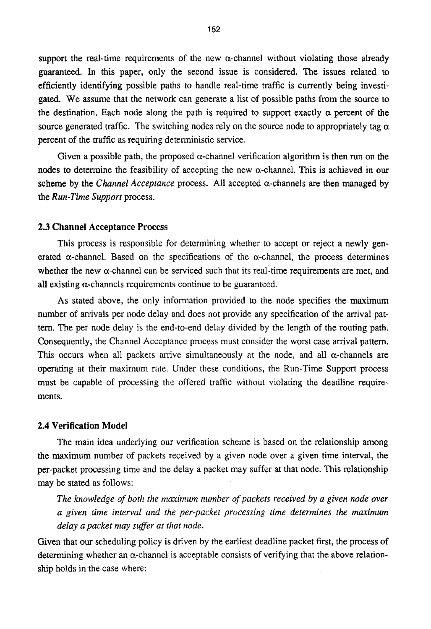support the real-time requirements of the new  $\alpha$ -channel without violating those already guaranteed. In this paper, only the second issue is considered. The issues related to efficiently identifying possible paths to handle real-time traffic is currently being investigated. We assume that the network can generate a list of possible paths from the source **to**  the destination. Each node along the path is required to support exactly  $\alpha$  percent of the source generated traffic. The switching nodes rely on the source node to appropriately tag  $\alpha$ percent of the traffic as requiring deterministic service.

Given a possible path, the proposed  $\alpha$ -channel verification algorithm is then run on the nodes to determine the feasibility of accepting the new  $\alpha$ -channel. This is achieved in our scheme by the *Channel Acceptance* process. All accepted  $\alpha$ -channels are then managed by **the** *Run-Time Support* process.

#### **2.3 Channel Acceptance Process**

This process is responsible for determining whether to accept or reject a newly generated  $\alpha$ -channel. Based on the specifications of the  $\alpha$ -channel, the process determines whether the new  $\alpha$ -channel can be serviced such that its real-time requirements are met, and all existing  $\alpha$ -channels requirements continue to be guaranteed.

As stated above, the only information provided to the node specifies the maximum number of arrivals per node delay and does not provide any specification of the arrival pattern. The per node delay is the end-to-end delay divided by the length of the routing path. Consequently, the Channel Acceptance process must consider the worst case arrival pattern. This occurs when all packets arrive simultaneously at the node, and all  $\alpha$ -channels are operating at their maximum rate. Under these conditions, the Run-Time Support process must be capable of processing the offered traffic without violating the deadline requirements.

#### **2.4 Verification Model**

The main idea underlying our verification scheme is based on the relationship among **the** maximum number of packets received by a given node over a given time interval, the per-packet processing time and the delay a packet may suffer at that node. This relationship may be stated as follows:

*The knowledge of both the maximum number of packets received by a given node over a given time interval and the per-packet processing time determines the maximum delay a packet may suffer at that node.* 

Given that our scheduling policy is driven by the earliest deadline packet first, the process of determining whether an  $\alpha$ -channel is acceptable consists of verifying that the above relationship holds in the case where: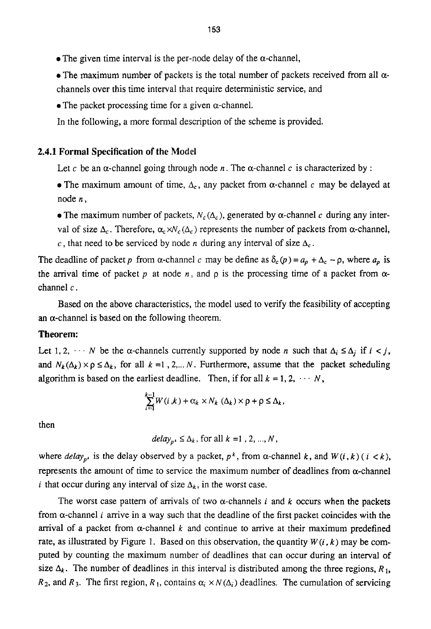- The given time interval is the per-node delay of the  $\alpha$ -channel,
- The maximum number of packets is the total number of packets received from all  $\alpha$ channels over this time interval that require deterministic service, and
- The packet processing time for a given  $\alpha$ -channel.

In the following, a more formal description of the scheme is provided.

# 2.4.1 Formal **Specification of** the Model

Let c be an  $\alpha$ -channel going through node n. The  $\alpha$ -channel c is characterized by :

- The maximum amount of time,  $\Delta_c$ , any packet from  $\alpha$ -channel c may be delayed at node n,
- The maximum number of packets,  $N_c(\Delta_c)$ , generated by  $\alpha$ -channel c during any interval of size  $\Delta_c$ . Therefore,  $\alpha_c \times N_c(\Delta_c)$  represents the number of packets from  $\alpha$ -channel, c, that need to be serviced by node n during any interval of size  $\Delta_c$ .

The deadline of packet p from  $\alpha$ -channel c may be define as  $\delta_c(p) = a_p + \Delta_c - \rho$ , where  $a_p$  is the arrival time of packet p at node n, and p is the processing time of a packet from  $\alpha$ channel c.

Based on the above characteristics, the model used to verify the feasibility of accepting an  $\alpha$ -channel is based on the following theorem.

# Theorem:

Let 1, 2,  $\cdots$  N be the  $\alpha$ -channels currently supported by node n such that  $\Delta_i \leq \Delta_j$  if  $i < j$ , and  $N_k(\Delta_k)\times \rho \leq \Delta_k$ , for all  $k = 1, 2,... N$ . Furthermore, assume that the packet scheduling algorithm is based on the earliest deadline. Then, if for all  $k = 1, 2, \cdots N$ ,

$$
\sum_{i=1}^{k-1} W(i,k) + \alpha_k \times N_k(\Delta_k) \times \rho + \rho \leq \Delta_k,
$$

then

$$
delay_{p^k} \leq \Delta_k
$$
, for all  $k = 1, 2, ..., N$ ,

where  $delay_{p^k}$  is the delay observed by a packet,  $p^k$ , from  $\alpha$ -channel k, and  $W(i, k)$  ( $i < k$ ), represents the amount of time to service the maximum number of deadlines from  $\alpha$ -channel i that occur during any interval of size  $\Delta_k$ , in the worst case.

The worst case pattern of arrivals of two  $\alpha$ -channels *i* and *k* occurs when the packets from  $\alpha$ -channel *i* arrive in a way such that the deadline of the first packet coincides with the arrival of a packet from  $\alpha$ -channel k and continue to arrive at their maximum predefined rate, as illustrated by Figure 1. Based on this observation, the quantity  $W(i, k)$  may be computed by counting the maximum number of deadlines that can occur during an interval of size  $\Delta_k$ . The number of deadlines in this interval is distributed among the three regions,  $R_1$ ,  $R_2$ , and  $R_3$ . The first region,  $R_1$ , contains  $\alpha_i \times N(\Delta_i)$  deadlines. The cumulation of servicing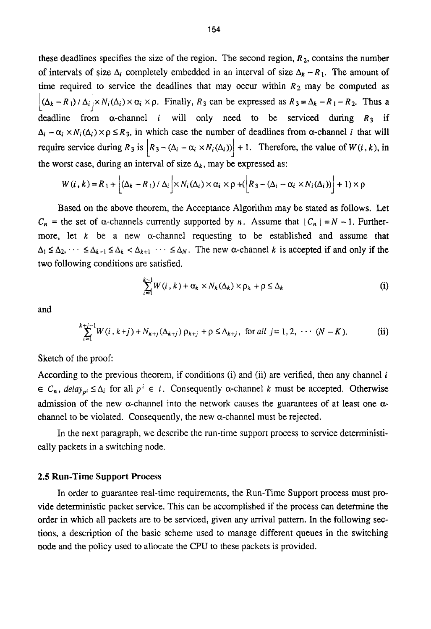these deadlines specifies the size of the region. The second region,  $R_2$ , contains the number of intervals of size  $\Delta_i$  completely embedded in an interval of size  $\Delta_k - R_1$ . The amount of time required to service the deadlines that may occur within  $R_2$  may be computed as  $\left| (\Delta_k - R_1)/\Delta_i \right| \times N_i(\Delta_i) \times \alpha_i \times \rho$ . Finally,  $R_3$  can be expressed as  $R_3 = \Delta_k - R_1 - R_2$ . Thus a deadline from  $\alpha$ -channel *i* will only need to be serviced during  $R_3$  if  $\Delta_i - \alpha_i \times N_i(\Delta_i) \times \rho \le R_3$ , in which case the number of deadlines from  $\alpha$ -channel *i* that will require service during  $R_3$  is  $|R_3 - (\Delta_i - \alpha_i \times N_i(\Delta_i))| + 1$ . Therefore, the value of *W*(*i*, *k*), in the worst case, during an interval of size  $\Delta_k$ , may be expressed as:

$$
W(i, k) = R_1 + \left[ (\Delta_k - R_1) / \Delta_i \right] \times N_i(\Delta_i) \times \alpha_i \times \rho + (\left[ R_3 - (\Delta_i - \alpha_i \times N_i(\Delta_i)) \right] + 1) \times \rho
$$

Based on the above theorem, the Acceptance Algorithm may be stated as follows. Let  $C_n$  = the set of  $\alpha$ -channels currently supported by *n*. Assume that  $|C_n| = N - 1$ . Furthermore, let  $k$  be a new  $\alpha$ -channel requesting to be established and assume that  $\Delta_1 \leq \Delta_2, \dots \leq \Delta_{k-1} \leq \Delta_k < \Delta_{k+1} \dots \leq \Delta_N$ . The new  $\alpha$ -channel k is accepted if and only if the two following conditions are satisfied.

$$
\sum_{k=1}^{k-1} W(i,k) + \alpha_k \times N_k(\Delta_k) \times \rho_k + \rho \leq \Delta_k
$$
 (i)

and

$$
\sum_{i=1}^{k+j-1} W(i, k+j) + N_{k+j}(\Delta_{k+j}) \rho_{k+j} + \rho \le \Delta_{k+j}, \text{ for all } j = 1, 2, \cdots (N - K). \tag{ii}
$$

Sketch of the proof:

According to the previous theorem, if conditions (i) and (ii) are verified, then any channel i  $\in C_n$ , *delay<sub>pi</sub>*  $\leq \Delta_i$  for all  $p^i \in i$ . Consequently  $\alpha$ -channel k must be accepted. Otherwise admission of the new  $\alpha$ -channel into the network causes the guarantees of at least one  $\alpha$ channel to be violated. Consequently, the new a-channel must be rejected.

In the next paragraph, we describe the run-time support process to service deterministically packets in a switching node.

## 2.5 Run.Time Support Process

In order to guarantee real-time requirements, the Run-Time Support process must provide deterministic packet service. This can be accomplished if the process can determine the order in which all packets are to be serviced, given any arrival pattern. In the following sections, a description of the basic scheme used to manage different queues in the switching node and the policy used to allocate the CPU to these packets is provided.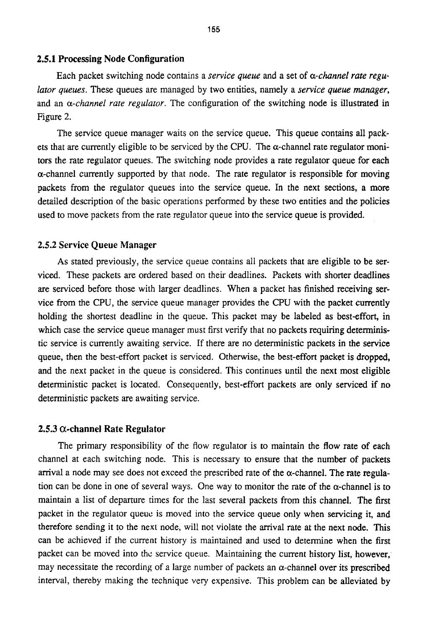#### **2.5.1 Processing Node Configuration**

Each packet switching node contains a *service queue* and a set of *a-channel rate regulator queues.* These queues are managed by two entities, namely a *service queue manager,*  and an  $\alpha$ -*channel rate regulator*. The configuration of the switching node is illustrated in Figure 2.

The service queue manager waits on the service queue. This queue contains all packets that are currently eligible to be serviced by the CPU. The  $\alpha$ -channel rate regulator monitors the rate regulator queues. The switching node provides a rate regulator queue for **each**   $\alpha$ -channel currently supported by that node. The rate regulator is responsible for moving packets from the regulator queues into the service queue. In the next sections, a more detailed description of the basic operations performed by these two entities and the policies used to move packets from the rate regulator queue into the service queue is provided.

# **2.5.2 Service Queue Manager**

As stated previously, the service queue contains all packets that are eligible to be serviced. These packets are ordered based on their deadlines. Packets with shorter deadlines are serviced before those with larger deadlines. When a packet has finished receiving service from the CPU, the service queue manager provides the CPU with the packet currently holding the shortest deadline in the queue. This packet may be labeled as best-effort, in which case the service queue manager must first verify that no packets requiring deterministic service is currently awaiting service. If there are no deterministic packets in the service queue, then the best-effort packet is serviced. Otherwise, the best-effort packet is dropped, and the next packet in the queue is considered. This continues until the next most eligible deterministic packet is located. Consequently, best-effort packets are only serviced if **no**  deterministic packets are awaiting service.

#### **2.5.30~-channel Rate Regulator**

The primary responsibility of the flow regulator is to maintain the flow rate of **each**  channel at each switching node. This is necessary to ensure that the number of packets arrival a node may see does not exceed the prescribed rate of the  $\alpha$ -channel. The rate regulation can be done in one of several ways. One way to monitor the rate of the  $\alpha$ -channel is to maintain a list of departure times for the last several packets from this channel. The first packet in the regulator queue is moved into the service queue only when servicing it, **and**  therefore sending it to the next node, will not violate the arrival rate at the next node. This can be achieved if the current history is maintained and used to determine when the first packet can be moved into the service queue. Maintaining the current history list, however, may necessitate the recording of a large number of packets an  $\alpha$ -channel over its prescribed interval, thereby making the technique very expensive. This problem can be alleviated by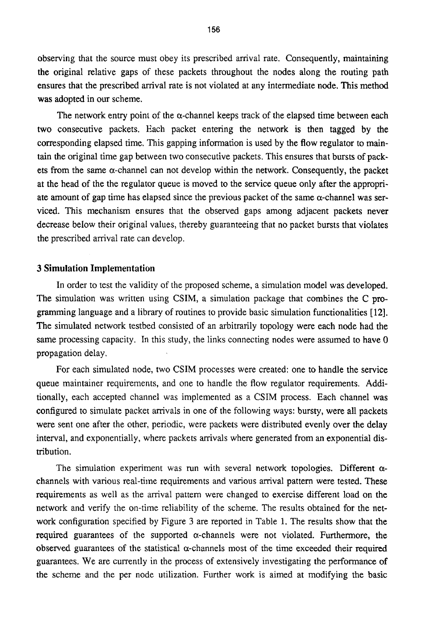observing that the source must obey its prescribed arrival rate. Consequently, maintaining the original relative gaps of these packets throughout the nodes along the muting path ensures that the prescribed arrival rate is not violated at any intermediate node. This method was adopted in our scheme.

The network entry point of the  $\alpha$ -channel keeps track of the elapsed time between each two consecutive packets. Each packet entering the network is then tagged by the corresponding elapsed time. This gapping information is used by the flow regulator to maintain the original time gap between two consecutive packets, This ensures that bursts of packets from the same  $\alpha$ -channel can not develop within the network. Consequently, the packet at the head of the the regulator queue is moved to the service queue only after the appropriate amount of gap time has elapsed since the previous packet of the same  $\alpha$ -channel was serviced. This mechanism ensures that the observed gaps among adjacent packets never decrease below their original values, thereby guaranteeing that no packet bursts that violates the prescribed arrival rate can develop.

#### 3 Simulation Implementation

In order to test the validity of the proposed scheme, a simulation model was developed. The simulation was written using CSIM, a simulation package that combines the C programming language and a library of routines to provide basic simulation functionalities [12]. The simulated network testbed consisted of an arbitrarily topology were each node had the same processing capacity. In this study, the links connecting nodes were assumed to have 0 propagation delay.

For each simulated node, two CSIM processes were created: one to handle the service queue maintainer requirements, and one to handle the flow regulator requirements. Additionally, each accepted channel was implemented as a CSIM process. Each channel was configured to simulate packet arrivals in one of the following ways: bursty, were all packets were sent one after the other, periodic, were packets were distributed evenly over the delay interval, and exponentially, where packets arrivals where generated from an exponential distribution.

The simulation experiment was run with several network topologies. Different  $\alpha$ channels with various real-time requirements and various arrival pattern were tested. These requirements as well as the arrival pattern were changed to exercise different load on the network and verify the on-time reliability of the scheme. The results obtained for the network configuration specified by Figure 3 are reported in Table 1. The results show that the required guarantees of the supported  $\alpha$ -channels were not violated. Furthermore, the observed guarantees of the statistical  $\alpha$ -channels most of the time exceeded their required guarantees. We are currently in the process of extensively investigating the performance of the scheme and the per node utilization. Further work is aimed at modifying the basic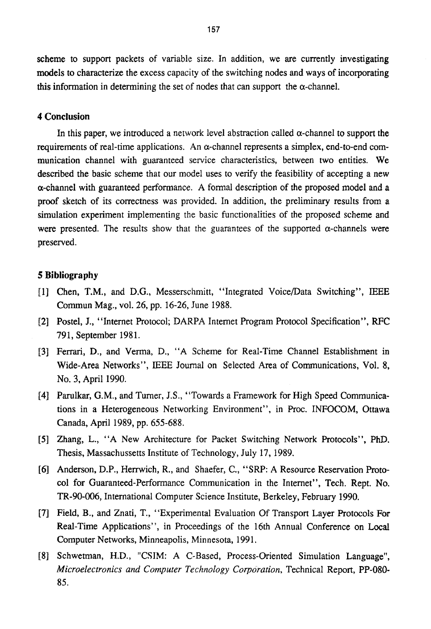scheme to support packets of variable size. In addition, we are currently investigating models to characterize the excess capacity of the switching nodes and ways of incorporating this information in determining the set of nodes that can support the  $\alpha$ -channel.

# **4 Conclusion**

In this paper, we introduced a network level abstraction called  $\alpha$ -channel to support the requirements of real-time applications. An  $\alpha$ -channel represents a simplex, end-to-end communication channel with guaranteed service characteristics, between two entities. We described the basic scheme that our model uses to verify the feasibility of accepting a new a-channel with guaranteed performance. A formal description of the proposed model and a proof sketch of its correctness was provided. In addition, the preliminary results from a simulation experiment implementing the basic functionalities of the proposed scheme and were presented. The results show that the guarantees of the supported  $\alpha$ -channels were preserved.

# **5 Bibliography**

- [1] Chen, T.M., and D.G., Messerschmitt, "Integrated Voice/Data Switching", IEEE Commun Mag., vol. 26, pp. 16-26, June 1988.
- [2] Postel, J., "Internet Protocol; DARPA Intemet Program Protocol Specification", RFC 791, September 1981.
- [3] Ferrari, D., and Verma, D., "A Scheme for Real-Time Channel Establishment in Wide-Area Networks", IEEE Journal on Selected Area of Communications, Vol. 8, No. 3, April 1990.
- [4] Parulkar, G.M., and Turner, J.S., "Towards a Framework for High Speed Communications in a Heterogeneous Networking Environment", in Proc. INFOCOM, Ottawa Canada, April 1989, pp. 655-688.
- [5] Zhang, L., "A New Architecture for Packet Switching Network Protocols", PhD. Thesis, Massachussetts Institute of Technology, July 17, 1989.
- [6] Anderson, D.P., Herrwich, R., and Shaefer, C., "SRP: A Resource Reservation Protocol for Guaranteed-Performance Communication in the Internet", Tech. Rept. No. TR-90-006, International Computer Science Institute, Berkeley, February 1990.
- [7] Field, B., and Znati, T., "Experimental Evaluation Of Transport Layer Protocols For Real-Time Applications", in Proceedings of the 16th Annual Conference on Local Computer Networks, Minneapolis, Minnesota, 1991.
- [8] Schwetman, H.D., "CSIM: A C-Based, Process-Oriented Simulation Language", *Microelectronics and Computer Technology Corporation,* Technical Report, PP-080- 85.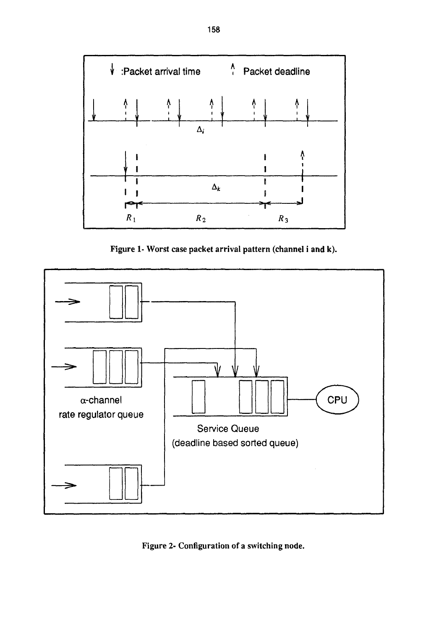

Figure 1- Worst case packet arrival pattern (channel i and k).



Figure 2- Configuration of a switching node.